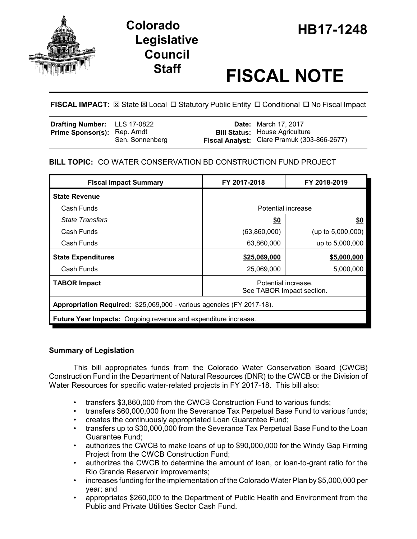

# **HB17-1248 Colorado Legislative Council**

# **Staff FISCAL NOTE**

**FISCAL IMPACT:**  $\boxtimes$  **State**  $\boxtimes$  **Local □ Statutory Public Entity □ Conditional □ No Fiscal Impact** 

| Drafting Number: LLS 17-0822        |                 | <b>Date:</b> March 17, 2017                                                          |
|-------------------------------------|-----------------|--------------------------------------------------------------------------------------|
| <b>Prime Sponsor(s): Rep. Arndt</b> | Sen. Sonnenberg | <b>Bill Status: House Agriculture</b><br>Fiscal Analyst: Clare Pramuk (303-866-2677) |

# **BILL TOPIC:** CO WATER CONSERVATION BD CONSTRUCTION FUND PROJECT

| <b>Fiscal Impact Summary</b>                                          | FY 2017-2018                                     | FY 2018-2019         |  |  |  |
|-----------------------------------------------------------------------|--------------------------------------------------|----------------------|--|--|--|
| <b>State Revenue</b>                                                  |                                                  |                      |  |  |  |
| Cash Funds                                                            | Potential increase                               |                      |  |  |  |
| <b>State Transfers</b>                                                | <u>\$0</u>                                       | <u>\$0</u>           |  |  |  |
| Cash Funds                                                            | (63,860,000)                                     | (up to $5,000,000$ ) |  |  |  |
| Cash Funds                                                            | 63,860,000                                       | up to 5,000,000      |  |  |  |
| <b>State Expenditures</b>                                             | \$25,069,000                                     | \$5,000,000          |  |  |  |
| Cash Funds                                                            | 25,069,000                                       | 5,000,000            |  |  |  |
| <b>TABOR Impact</b>                                                   | Potential increase.<br>See TABOR Impact section. |                      |  |  |  |
| Appropriation Required: \$25,069,000 - various agencies (FY 2017-18). |                                                  |                      |  |  |  |
| <b>Future Year Impacts:</b> Ongoing revenue and expenditure increase. |                                                  |                      |  |  |  |

## **Summary of Legislation**

This bill appropriates funds from the Colorado Water Conservation Board (CWCB) Construction Fund in the Department of Natural Resources (DNR) to the CWCB or the Division of Water Resources for specific water-related projects in FY 2017-18. This bill also:

- transfers \$3,860,000 from the CWCB Construction Fund to various funds;
- transfers \$60,000,000 from the Severance Tax Perpetual Base Fund to various funds;
- creates the continuously appropriated Loan Guarantee Fund;
- transfers up to \$30,000,000 from the Severance Tax Perpetual Base Fund to the Loan Guarantee Fund;
- authorizes the CWCB to make loans of up to \$90,000,000 for the Windy Gap Firming Project from the CWCB Construction Fund;
- authorizes the CWCB to determine the amount of loan, or loan-to-grant ratio for the Rio Grande Reservoir improvements;
- increases funding for the implementation of the Colorado Water Plan by \$5,000,000 per year; and
- appropriates \$260,000 to the Department of Public Health and Environment from the Public and Private Utilities Sector Cash Fund.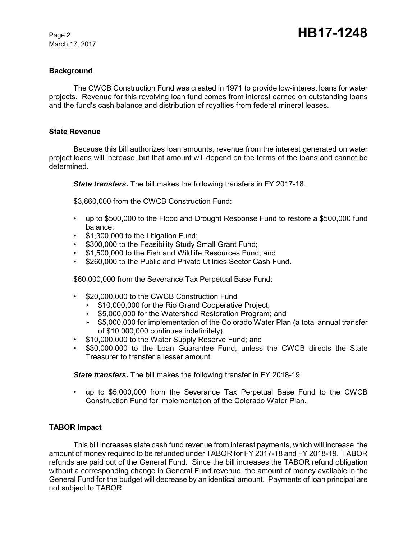March 17, 2017

#### **Background**

The CWCB Construction Fund was created in 1971 to provide low-interest loans for water projects. Revenue for this revolving loan fund comes from interest earned on outstanding loans and the fund's cash balance and distribution of royalties from federal mineral leases.

#### **State Revenue**

Because this bill authorizes loan amounts, revenue from the interest generated on water project loans will increase, but that amount will depend on the terms of the loans and cannot be determined.

*State transfers.* The bill makes the following transfers in FY 2017-18.

\$3,860,000 from the CWCB Construction Fund:

- up to \$500,000 to the Flood and Drought Response Fund to restore a \$500,000 fund balance;
- \$1,300,000 to the Litigation Fund;
- \$300,000 to the Feasibility Study Small Grant Fund;
- \$1,500,000 to the Fish and Wildlife Resources Fund; and
- \$260,000 to the Public and Private Utilities Sector Cash Fund.

\$60,000,000 from the Severance Tax Perpetual Base Fund:

- \$20,000,000 to the CWCB Construction Fund
	- ► \$10,000,000 for the Rio Grand Cooperative Project;
	- ► \$5,000,000 for the Watershed Restoration Program; and
	- < \$5,000,000 for implementation of the Colorado Water Plan (a total annual transfer of \$10,000,000 continues indefinitely).
- \$10,000,000 to the Water Supply Reserve Fund; and
- \$30,000,000 to the Loan Guarantee Fund, unless the CWCB directs the State Treasurer to transfer a lesser amount.

*State transfers.* The bill makes the following transfer in FY 2018-19.

• up to \$5,000,000 from the Severance Tax Perpetual Base Fund to the CWCB Construction Fund for implementation of the Colorado Water Plan.

#### **TABOR Impact**

This bill increases state cash fund revenue from interest payments, which will increase the amount of money required to be refunded under TABOR for FY 2017-18 and FY 2018-19. TABOR refunds are paid out of the General Fund. Since the bill increases the TABOR refund obligation without a corresponding change in General Fund revenue, the amount of money available in the General Fund for the budget will decrease by an identical amount. Payments of loan principal are not subject to TABOR.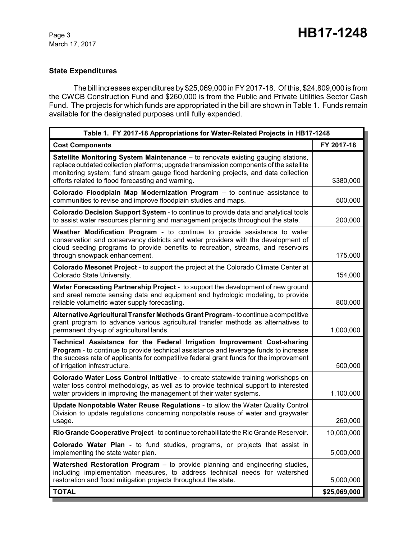## **State Expenditures**

The bill increases expenditures by \$25,069,000 in FY 2017-18. Of this, \$24,809,000 is from the CWCB Construction Fund and \$260,000 is from the Public and Private Utilities Sector Cash Fund. The projects for which funds are appropriated in the bill are shown in Table 1. Funds remain available for the designated purposes until fully expended.

| Table 1. FY 2017-18 Appropriations for Water-Related Projects in HB17-1248                                                                                                                                                                                                                                                    |              |  |  |
|-------------------------------------------------------------------------------------------------------------------------------------------------------------------------------------------------------------------------------------------------------------------------------------------------------------------------------|--------------|--|--|
| <b>Cost Components</b>                                                                                                                                                                                                                                                                                                        | FY 2017-18   |  |  |
| <b>Satellite Monitoring System Maintenance</b> – to renovate existing gauging stations,<br>replace outdated collection platforms; upgrade transmission components of the satellite<br>monitoring system; fund stream gauge flood hardening projects, and data collection<br>efforts related to flood forecasting and warning. | \$380,000    |  |  |
| Colorado Floodplain Map Modernization Program - to continue assistance to<br>communities to revise and improve floodplain studies and maps.                                                                                                                                                                                   | 500,000      |  |  |
| Colorado Decision Support System - to continue to provide data and analytical tools<br>to assist water resources planning and management projects throughout the state.                                                                                                                                                       | 200,000      |  |  |
| Weather Modification Program - to continue to provide assistance to water<br>conservation and conservancy districts and water providers with the development of<br>cloud seeding programs to provide benefits to recreation, streams, and reservoirs<br>through snowpack enhancement.                                         | 175,000      |  |  |
| Colorado Mesonet Project - to support the project at the Colorado Climate Center at<br>Colorado State University.                                                                                                                                                                                                             | 154,000      |  |  |
| Water Forecasting Partnership Project - to support the development of new ground<br>and areal remote sensing data and equipment and hydrologic modeling, to provide<br>reliable volumetric water supply forecasting.                                                                                                          | 800,000      |  |  |
| Alternative Agricultural Transfer Methods Grant Program - to continue a competitive<br>grant program to advance various agricultural transfer methods as alternatives to<br>permanent dry-up of agricultural lands.                                                                                                           | 1,000,000    |  |  |
| Technical Assistance for the Federal Irrigation Improvement Cost-sharing<br>Program - to continue to provide technical assistance and leverage funds to increase<br>the success rate of applicants for competitive federal grant funds for the improvement<br>of irrigation infrastructure.                                   | 500,000      |  |  |
| Colorado Water Loss Control Initiative - to create statewide training workshops on<br>water loss control methodology, as well as to provide technical support to interested<br>water providers in improving the management of their water systems.                                                                            | 1,100,000    |  |  |
| Update Nonpotable Water Reuse Regulations - to allow the Water Quality Control<br>Division to update regulations concerning nonpotable reuse of water and graywater<br>usage.                                                                                                                                                 | 260,000      |  |  |
| Rio Grande Cooperative Project - to continue to rehabilitate the Rio Grande Reservoir.                                                                                                                                                                                                                                        | 10,000,000   |  |  |
| Colorado Water Plan - to fund studies, programs, or projects that assist in<br>implementing the state water plan.                                                                                                                                                                                                             | 5,000,000    |  |  |
| <b>Watershed Restoration Program</b> – to provide planning and engineering studies,<br>including implementation measures, to address technical needs for watershed<br>restoration and flood mitigation projects throughout the state.                                                                                         | 5,000,000    |  |  |
| <b>TOTAL</b>                                                                                                                                                                                                                                                                                                                  | \$25,069,000 |  |  |